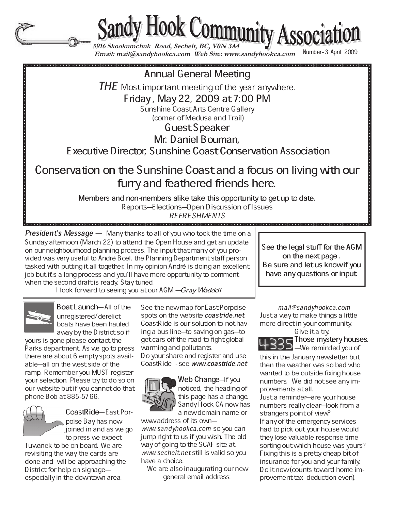

Sandy Hook Community Association

 **Email: mail@sandyhookca.com Web Site: www.sandyhookca.com** 

Number-3 April 2009

aannau aan de deur de deur de deur de deur de deur de deur de deur de deur de deur de deur de deur de deur de<br>:<br>:

 $THE$  Most important meeting of the year anywhere.

Friday, May 22, 2009 at 7:00 PM

Sunshine Coast Arts Centre Gallery

 (corner of Medusa and Trail) Guest Speaker

Mr. Daniel Bouman,

Executive Director, Sunshine Coast Conservation Association

Conservation on the Sunshine Coast and a focus on living with our furry and feathered friends here.

Members and non-members alike take this opportunity to get up to date.

Reports–Elections–Open Discussion of Issues REFRESHMENTS<br>DEFINITIONS

**President's Message**  $-$  Many thanks to all of you who took the time on a Sunday afternoon (March 22) to attend the Open House and get an update on our neighbourhood planning process. The input that many of you provided was very useful to André Boel, the Planning Department staff person tasked with putting it all together. In my opinion André is doing an excellent job but it's a long process and you'll have more opportunity to comment when the second draft is ready. Stay tuned.

I look forward to seeing you at our AGM.–Gray Waddell



Boat Launch-All of the unregistered/derelict boats have been hauled away by the District so if

yours is gone please contact the Parks department. As we go to press there are about 6 empty spots available-all on the west side of the ramp. Remember you MUST register your selection. Please try to do so on our website but if you cannot do that phone Bob at 885-5766.



CoastRide-East Porpoise Bay has now joined in and as we go to press we expect

Tuwanek to be on board. We are revisiting the way the cards are done and will be approaching the District for help on signageespecially in the downtown area.

See the new map for East Porpoise spots on the website coastride.net CoastRide is our solution to not having a bus line—to saving on gas—to get cars off the road to fight global warming and pollutants.

Do your share and register and use CoastRide - see www.coastride.net



Web Change–If you noticed, the heading of this page has a change. Sandy Hook CA now has a new domain name or

www address of its ownwww.sandyhookca,com so you can jump right to us if you wish. The old way of going to the SCAF site at www.sechelt.net still is valid so you have a choice.

We are also inaugurating our new general email address:

See the legal stuff for the AGM on the next page. Be sure and letus knowif you have any questions or input.

. . . . . . . . . . . . . .

mail@sandyhookca.com Just a way to make things a little more direct in your community.

Give it a try.

Those mystery houses.  $\Box$  –We reminded you of

this in the January newsletter but then the weather was so bad who wanted to be outside fixing house numbers. We did not see any improvements at all.

Just a reminder—are your house numbers really clear-look from a strangers point of view? If any of the emergency services had to pick out your house would they lose valuable response time sorting out which house was yours? Fixing this is a pretty cheap bit of insurance for you and your family. Do it now (counts toward home improvement tax deduction even).